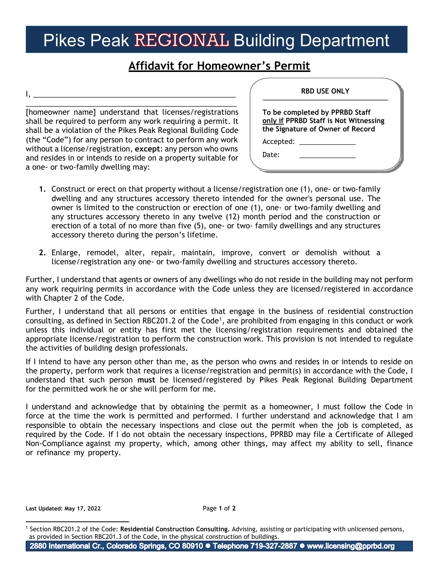## Pikes Peak REGIONAL Building Department

## **Affidavit for Homeowner's Permit**

\_\_\_\_\_\_\_\_\_\_\_\_\_\_\_\_\_\_\_\_\_\_\_\_\_\_\_\_\_\_\_\_\_\_\_\_\_\_\_\_\_\_\_\_\_\_\_\_\_\_\_ [homeowner name] understand that licenses/registrations shall be required to perform any work requiring a permit. It shall be a violation of the Pikes Peak Regional Building Code (the "Code") for any person to contract to perform any work without a license/registration, **except**: any person who owns and resides in or intends to reside on a property suitable for a one- or two-family dwelling may:

I, \_\_\_\_\_\_\_\_\_\_\_\_\_\_\_\_\_\_\_\_\_\_\_\_\_\_\_\_\_\_\_\_\_\_\_\_\_\_\_\_\_\_\_\_\_\_\_\_\_

| <b>RBD USE ONLY</b>                                                                                         |  |
|-------------------------------------------------------------------------------------------------------------|--|
| To be completed by PPRBD Staff<br>only if PPRBD Staff is Not Witnessing<br>the Signature of Owner of Record |  |
|                                                                                                             |  |
| Date:                                                                                                       |  |

- **1.** Construct or erect on that property without a license/registration one (1), one- or two-family dwelling and any structures accessory thereto intended for the owner's personal use. The owner is limited to the construction or erection of one (1), one- or two-family dwelling and any structures accessory thereto in any twelve (12) month period and the construction or erection of a total of no more than five (5), one- or two- family dwellings and any structures accessory thereto during the person's lifetime.
- **2.** Enlarge, remodel, alter, repair, maintain, improve, convert or demolish without a license/registration any one- or two-family dwelling and structures accessory thereto.

Further, I understand that agents or owners of any dwellings who do not reside in the building may not perform any work requiring permits in accordance with the Code unless they are licensed/registered in accordance with Chapter 2 of the Code.

Further, I understand that all persons or entities that engage in the business of residential construction consulting, as defined in Section RBC20[1](#page-0-0).2 of the Code<sup>1</sup>, are prohibited from engaging in this conduct or work unless this individual or entity has first met the licensing/registration requirements and obtained the appropriate license/registration to perform the construction work. This provision is not intended to regulate the activities of building design professionals.

If I intend to have any person other than me, as the person who owns and resides in or intends to reside on the property, perform work that requires a license/registration and permit(s) in accordance with the Code, I understand that such person **must** be licensed/registered by Pikes Peak Regional Building Department for the permitted work he or she will perform for me.

I understand and acknowledge that by obtaining the permit as a homeowner, I must follow the Code in force at the time the work is permitted and performed. I further understand and acknowledge that I am responsible to obtain the necessary inspections and close out the permit when the job is completed, as required by the Code. If I do not obtain the necessary inspections, PPRBD may file a Certificate of Alleged Non-Compliance against my property, which, among other things, may affect my ability to sell, finance or refinance my property.

**Last Updated: May 17, 2022** Page **1** of **2**

<span id="page-0-0"></span><sup>1</sup> Section RBC201.2 of the Code: **Residential Construction Consulting.** Advising, assisting or participating with unlicensed persons, as provided in Section RBC201.3 of the Code, in the physical construction of buildings.

<sup>2880</sup> International Cr., Colorado Springs, CO 80910 · Telephone 719-327-2887 · www.licensing@pprbd.org